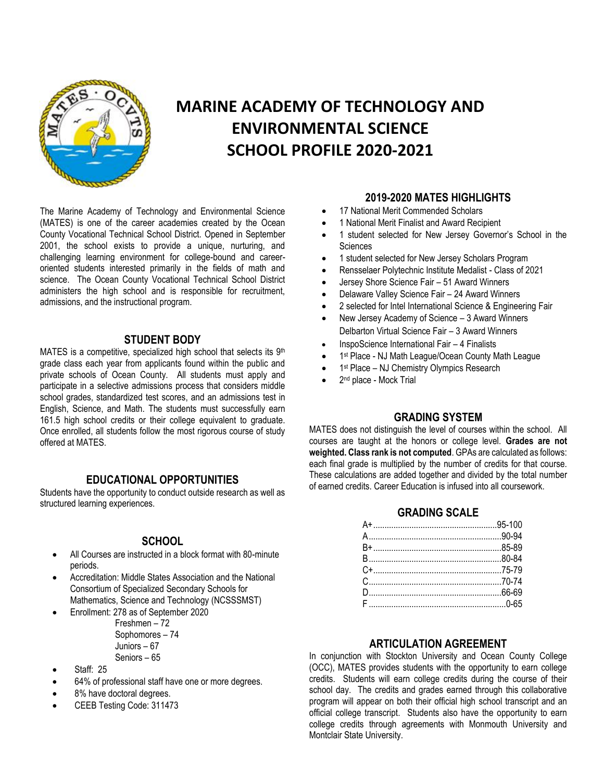

# **MARINE ACADEMY OF TECHNOLOGY AND ENVIRONMENTAL SCIENCE SCHOOL PROFILE 2020-2021**

The Marine Academy of Technology and Environmental Science (MATES) is one of the career academies created by the Ocean County Vocational Technical School District. Opened in September 2001, the school exists to provide a unique, nurturing, and challenging learning environment for college-bound and careeroriented students interested primarily in the fields of math and science. The Ocean County Vocational Technical School District administers the high school and is responsible for recruitment, admissions, and the instructional program.

### **STUDENT BODY**

MATES is a competitive, specialized high school that selects its 9<sup>th</sup> grade class each year from applicants found within the public and private schools of Ocean County. All students must apply and participate in a selective admissions process that considers middle school grades, standardized test scores, and an admissions test in English, Science, and Math. The students must successfully earn 161.5 high school credits or their college equivalent to graduate. Once enrolled, all students follow the most rigorous course of study offered at MATES.

### **EDUCATIONAL OPPORTUNITIES**

Students have the opportunity to conduct outside research as well as structured learning experiences.

### **SCHOOL**

- All Courses are instructed in a block format with 80-minute periods.
- Accreditation: Middle States Association and the National Consortium of Specialized Secondary Schools for Mathematics, Science and Technology (NCSSSMST)
- Enrollment: 278 as of September 2020

 Freshmen – 72 Sophomores – 74 Juniors – 67 Seniors – 65

- Staff: 25
- 64% of professional staff have one or more degrees.
- 8% have doctoral degrees.
- CEEB Testing Code: 311473

### **2019-2020 MATES HIGHLIGHTS**

- 17 National Merit Commended Scholars
- 1 National Merit Finalist and Award Recipient
- 1 student selected for New Jersey Governor's School in the **Sciences**
- 1 student selected for New Jersey Scholars Program
- Rensselaer Polytechnic Institute Medalist Class of 2021
- Jersey Shore Science Fair 51 Award Winners
- Delaware Valley Science Fair 24 Award Winners
- 2 selected for Intel International Science & Engineering Fair
- New Jersey Academy of Science 3 Award Winners Delbarton Virtual Science Fair – 3 Award Winners
- InspoScience International Fair 4 Finalists
- 1<sup>st</sup> Place NJ Math League/Ocean County Math League
- 1<sup>st</sup> Place NJ Chemistry Olympics Research
- 2<sup>nd</sup> place Mock Trial

## **GRADING SYSTEM**

MATES does not distinguish the level of courses within the school. All courses are taught at the honors or college level. **Grades are not weighted. Class rank is not computed**. GPAs are calculated as follows: each final grade is multiplied by the number of credits for that course. These calculations are added together and divided by the total number of earned credits. Career Education is infused into all coursework.

### **GRADING SCALE**

#### **ARTICULATION AGREEMENT**

In conjunction with Stockton University and Ocean County College (OCC), MATES provides students with the opportunity to earn college credits. Students will earn college credits during the course of their school day. The credits and grades earned through this collaborative program will appear on both their official high school transcript and an official college transcript. Students also have the opportunity to earn college credits through agreements with Monmouth University and Montclair State University.